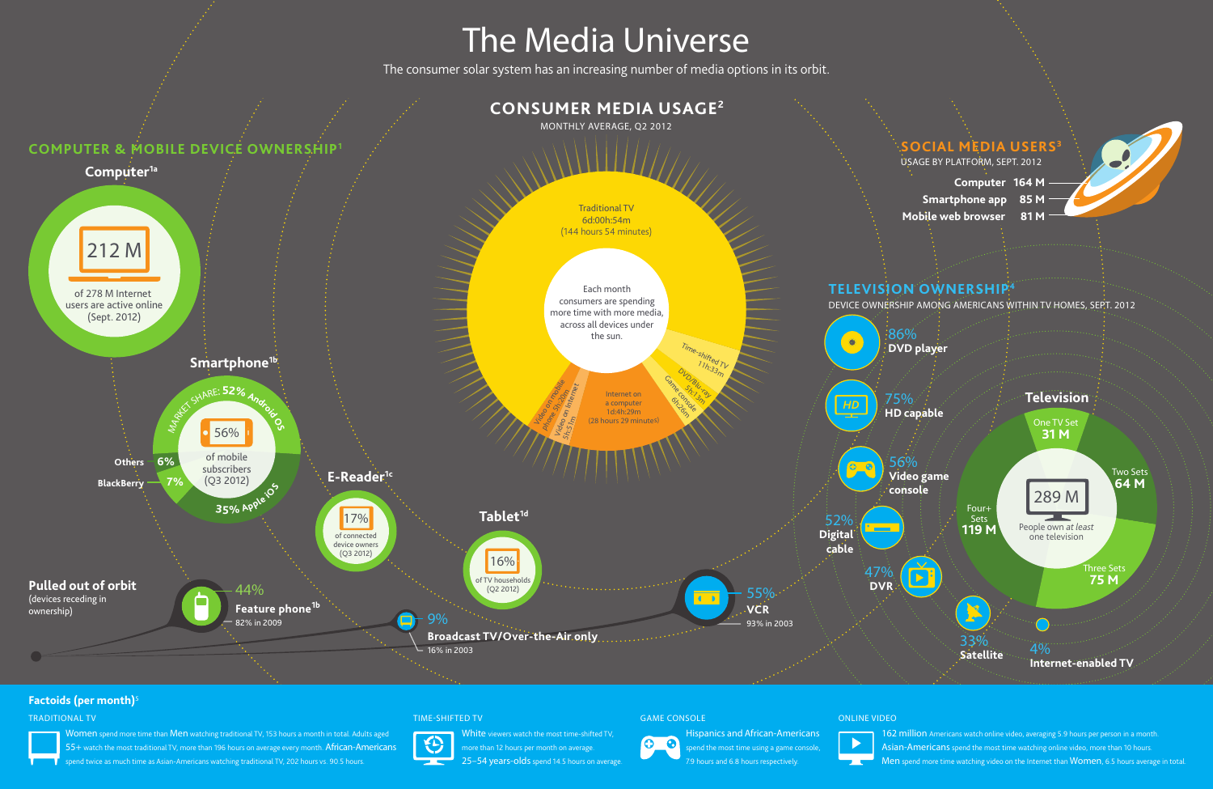## **TIME-SHIFTED TV GAME CONSOLE ONLINE VIDEO**

**Women** spend more time than **Men** watching traditional TV, 153 hours a month in total. Adults aged **55+** watch the most traditional TV, more than 196 hours on average every month. **African-Americans** pend twice as much time as Asian-Americans watching traditional TV, 202 hours vs. 90.5 hours.

# €

у.

**Hispanics and African-Americans**  00 spend the most time using a game console, 7.9 hours and 6.8 hours respectively.



| Computer 164 M         |  |
|------------------------|--|
| Smartphone app 85 M    |  |
| Mobile web browser 81M |  |

### **TRADITIONAL TV**



- **162 million** Americans watch online video, averaging 5.9 hours per person in a month.
- **Asian-Americans** spend the most time watching online video, more than 10 hours.
- **Men** spend more time watching video on the Internet than **Women**, 6.5 hours average in total.



**White** viewers watch the most time-shifted TV, more than 12 hours per month on average. **25–54 years-olds** spend 14.5 hours on average.

## **Factoids (per month)<sup>5</sup>**

# **The Media Universe**

The consumer solar system has an increasing number of media options in its orbit.